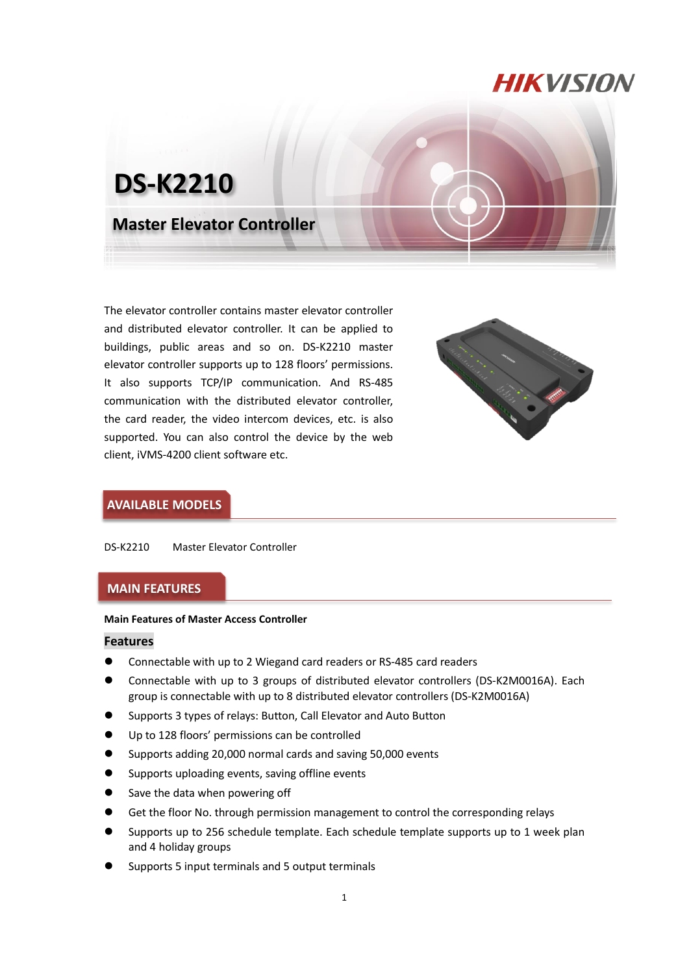# **HIKVISION**



The elevator controller contains master elevator controller and distributed elevator controller. It can be applied to buildings, public areas and so on. DS-K2210 master elevator controller supports up to 128 floors' permissions. It also supports TCP/IP communication. And RS-485 communication with the distributed elevator controller, the card reader, the video intercom devices, etc. is also supported. You can also control the device by the web client, iVMS-4200 client software etc.



## **AVAILABLE MODELS**

DS-K2210 Master Elevator Controller

### **MAIN FEATURES**

#### **Main Features of Master Access Controller**

#### **Features**

- Connectable with up to 2 Wiegand card readers or RS-485 card readers
- Connectable with up to 3 groups of distributed elevator controllers (DS-K2M0016A). Each group is connectable with up to 8 distributed elevator controllers (DS-K2M0016A)
- Supports 3 types of relays: Button, Call Elevator and Auto Button
- Up to 128 floors' permissions can be controlled
- Supports adding 20,000 normal cards and saving 50,000 events
- Supports uploading events, saving offline events
- Save the data when powering off
- Get the floor No. through permission management to control the corresponding relays
- Supports up to 256 schedule template. Each schedule template supports up to 1 week plan and 4 holiday groups
- Supports 5 input terminals and 5 output terminals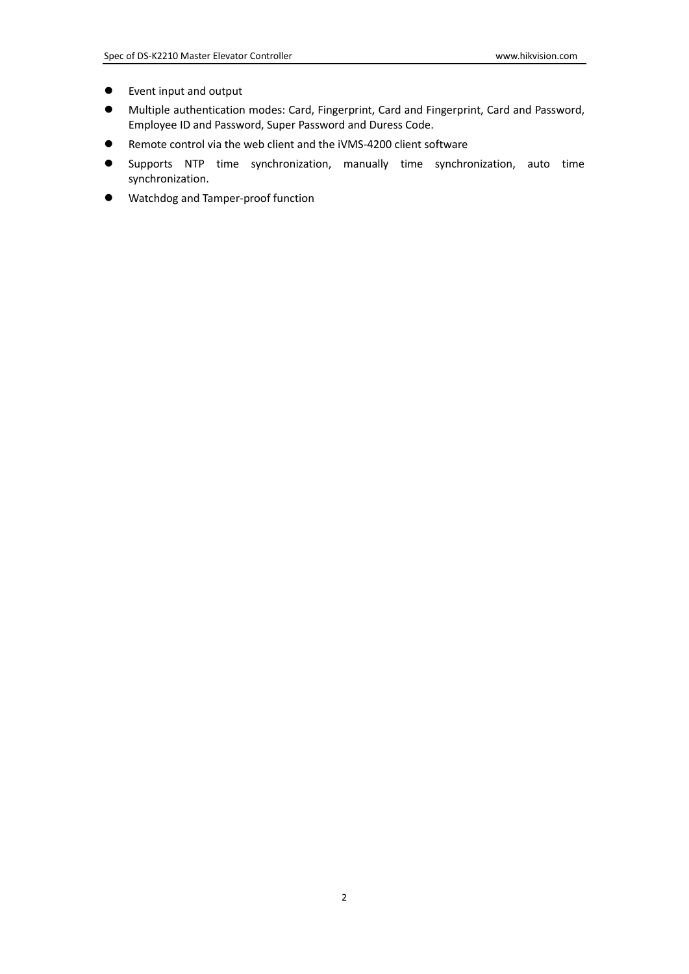- Event input and output
- Multiple authentication modes: Card, Fingerprint, Card and Fingerprint, Card and Password, Employee ID and Password, Super Password and Duress Code.
- Remote control via the web client and the iVMS-4200 client software
- Supports NTP time synchronization, manually time synchronization, auto time synchronization.
- Watchdog and Tamper-proof function